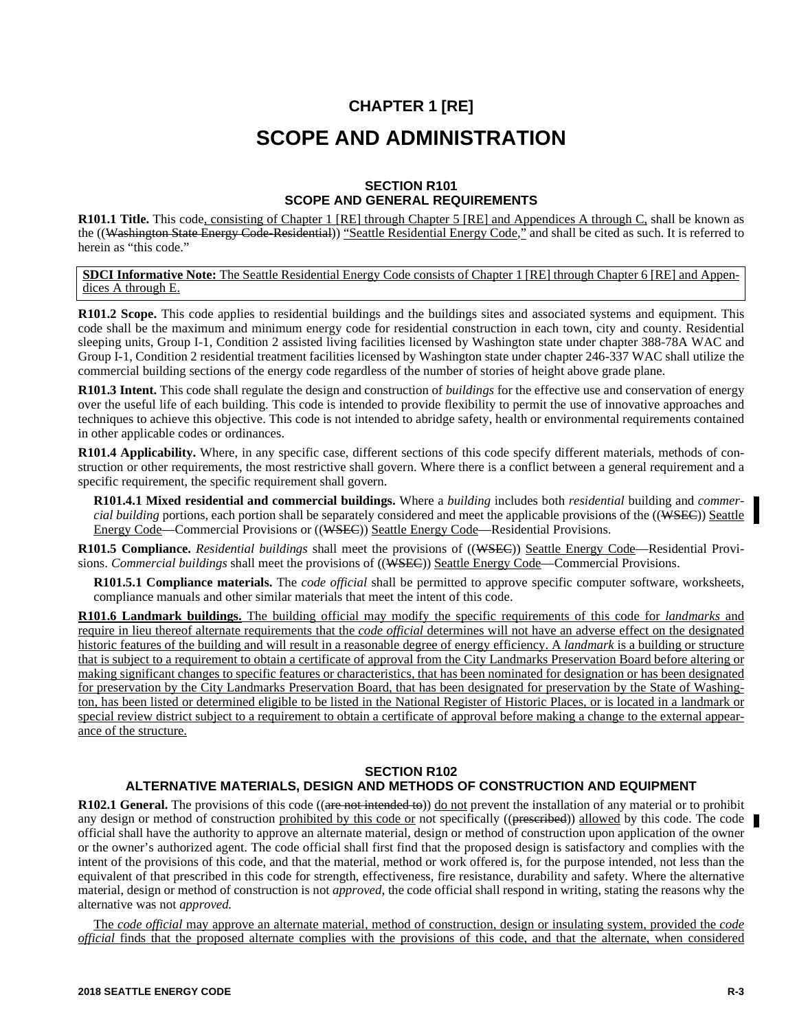# **CHAPTER 1 [RE] SCOPE AND ADMINISTRATION**

# **SECTION R101 SCOPE AND GENERAL REQUIREMENTS**

R101.1 Title. This code, consisting of Chapter 1 [RE] through Chapter 5 [RE] and Appendices A through C, shall be known as the ((Washington State Energy Code-Residential)) "Seattle Residential Energy Code," and shall be cited as such. It is referred to herein as "this code."

**SDCI Informative Note:** The Seattle Residential Energy Code consists of Chapter 1 [RE] through Chapter 6 [RE] and Appendices A through E.

**R101.2 Scope.** This code applies to residential buildings and the buildings sites and associated systems and equipment. This code shall be the maximum and minimum energy code for residential construction in each town, city and county. Residential sleeping units, Group I-1, Condition 2 assisted living facilities licensed by Washington state under chapter 388-78A WAC and Group I-1, Condition 2 residential treatment facilities licensed by Washington state under chapter 246-337 WAC shall utilize the commercial building sections of the energy code regardless of the number of stories of height above grade plane.

**R101.3 Intent.** This code shall regulate the design and construction of *buildings* for the effective use and conservation of energy over the useful life of each building. This code is intended to provide flexibility to permit the use of innovative approaches and techniques to achieve this objective. This code is not intended to abridge safety, health or environmental requirements contained in other applicable codes or ordinances.

**R101.4 Applicability.** Where, in any specific case, different sections of this code specify different materials, methods of construction or other requirements, the most restrictive shall govern. Where there is a conflict between a general requirement and a specific requirement, the specific requirement shall govern.

**R101.4.1 Mixed residential and commercial buildings.** Where a *building* includes both *residential* building and *commercial building* portions, each portion shall be separately considered and meet the applicable provisions of the ((WSEC)) Seattle Energy Code—Commercial Provisions or ((WSEC)) Seattle Energy Code—Residential Provisions.

**R101.5 Compliance.** *Residential buildings* shall meet the provisions of ((WSEC)) Seattle Energy Code—Residential Provisions. *Commercial buildings* shall meet the provisions of ((WSEC)) Seattle Energy Code—Commercial Provisions.

**R101.5.1 Compliance materials.** The *code official* shall be permitted to approve specific computer software, worksheets, compliance manuals and other similar materials that meet the intent of this code.

**R101.6 Landmark buildings.** The building official may modify the specific requirements of this code for *landmarks* and require in lieu thereof alternate requirements that the *code official* determines will not have an adverse effect on the designated historic features of the building and will result in a reasonable degree of energy efficiency. A *landmark* is a building or structure that is subject to a requirement to obtain a certificate of approval from the City Landmarks Preservation Board before altering or making significant changes to specific features or characteristics, that has been nominated for designation or has been designated for preservation by the City Landmarks Preservation Board, that has been designated for preservation by the State of Washington, has been listed or determined eligible to be listed in the National Register of Historic Places, or is located in a landmark or special review district subject to a requirement to obtain a certificate of approval before making a change to the external appearance of the structure.

# **SECTION R102 ALTERNATIVE MATERIALS, DESIGN AND METHODS OF CONSTRUCTION AND EQUIPMENT**

**R102.1 General.** The provisions of this code ((are not intended to)) <u>do not</u> prevent the installation of any material or to prohibit any design or method of construction prohibited by this code or not specifically ((preseribed)) allowed by this code. The code official shall have the authority to approve an alternate material, design or method of construction upon application of the owner or the owner's authorized agent. The code official shall first find that the proposed design is satisfactory and complies with the intent of the provisions of this code, and that the material, method or work offered is, for the purpose intended, not less than the equivalent of that prescribed in this code for strength, effectiveness, fire resistance, durability and safety. Where the alternative material, design or method of construction is not *approved,* the code official shall respond in writing, stating the reasons why the alternative was not *approved.*

The *code official* may approve an alternate material, method of construction, design or insulating system, provided the *code official* finds that the proposed alternate complies with the provisions of this code, and that the alternate, when considered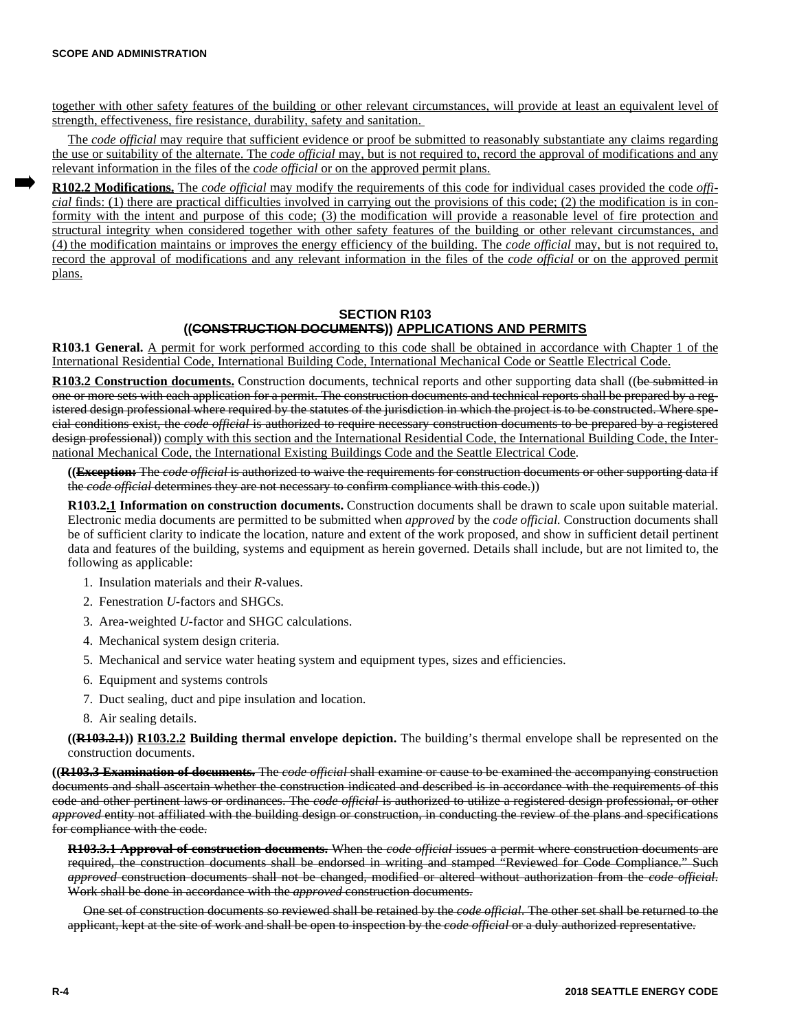together with other safety features of the building or other relevant circumstances, will provide at least an equivalent level of strength, effectiveness, fire resistance, durability, safety and sanitation.

The *code official* may require that sufficient evidence or proof be submitted to reasonably substantiate any claims regarding the use or suitability of the alternate. The *code official* may, but is not required to, record the approval of modifications and any relevant information in the files of the *code official* or on the approved permit plans.

**R102.2 Modifications.** The *code official* may modify the requirements of this code for individual cases provided the code *official* finds: (1) there are practical difficulties involved in carrying out the provisions of this code; (2) the modification is in conformity with the intent and purpose of this code; (3) the modification will provide a reasonable level of fire protection and structural integrity when considered together with other safety features of the building or other relevant circumstances, and (4) the modification maintains or improves the energy efficiency of the building. The *code official* may, but is not required to, record the approval of modifications and any relevant information in the files of the *code official* or on the approved permit plans.

# **SECTION R103 ((CONSTRUCTION DOCUMENTS)) APPLICATIONS AND PERMITS**

**R103.1 General.** A permit for work performed according to this code shall be obtained in accordance with Chapter 1 of the International Residential Code, International Building Code, International Mechanical Code or Seattle Electrical Code.

**R103.2 Construction documents.** Construction documents, technical reports and other supporting data shall ((be submitted in one or more sets with each application for a permit. The construction documents and technical reports shall be prepared by a registered design professional where required by the statutes of the jurisdiction in which the project is to be constructed. Where special conditions exist, the *code official* is authorized to require necessary construction documents to be prepared by a registered design professional)) comply with this section and the International Residential Code, the International Building Code, the International Mechanical Code, the International Existing Buildings Code and the Seattle Electrical Code.

**((Exception:** The *code official* is authorized to waive the requirements for construction documents or other supporting data if the *code official* determines they are not necessary to confirm compliance with this code.))

**R103.2.1 Information on construction documents.** Construction documents shall be drawn to scale upon suitable material. Electronic media documents are permitted to be submitted when *approved* by the *code official.* Construction documents shall be of sufficient clarity to indicate the location, nature and extent of the work proposed, and show in sufficient detail pertinent data and features of the building, systems and equipment as herein governed. Details shall include, but are not limited to, the following as applicable:

- 1. Insulation materials and their *R-*values.
- 2. Fenestration *U-*factors and SHGCs.
- 3. Area-weighted *U-*factor and SHGC calculations.
- 4. Mechanical system design criteria.
- 5. Mechanical and service water heating system and equipment types, sizes and efficiencies.
- 6. Equipment and systems controls
- 7. Duct sealing, duct and pipe insulation and location.
- 8. Air sealing details.

**((R103.2.1)) R103.2.2 Building thermal envelope depiction.** The building's thermal envelope shall be represented on the construction documents.

**((R103.3 Examination of documents.** The *code official* shall examine or cause to be examined the accompanying construction documents and shall ascertain whether the construction indicated and described is in accordance with the requirements of this code and other pertinent laws or ordinances. The *code official* is authorized to utilize a registered design professional, or other *approved* entity not affiliated with the building design or construction, in conducting the review of the plans and specifications for compliance with the code.

**R103.3.1 Approval of construction documents.** When the *code official* issues a permit where construction documents are required, the construction documents shall be endorsed in writing and stamped "Reviewed for Code Compliance." Such *approved* construction documents shall not be changed, modified or altered without authorization from the *code official*. Work shall be done in accordance with the *approved* construction documents.

One set of construction documents so reviewed shall be retained by the *code official*. The other set shall be returned to the applicant, kept at the site of work and shall be open to inspection by the *code official* or a duly authorized representative.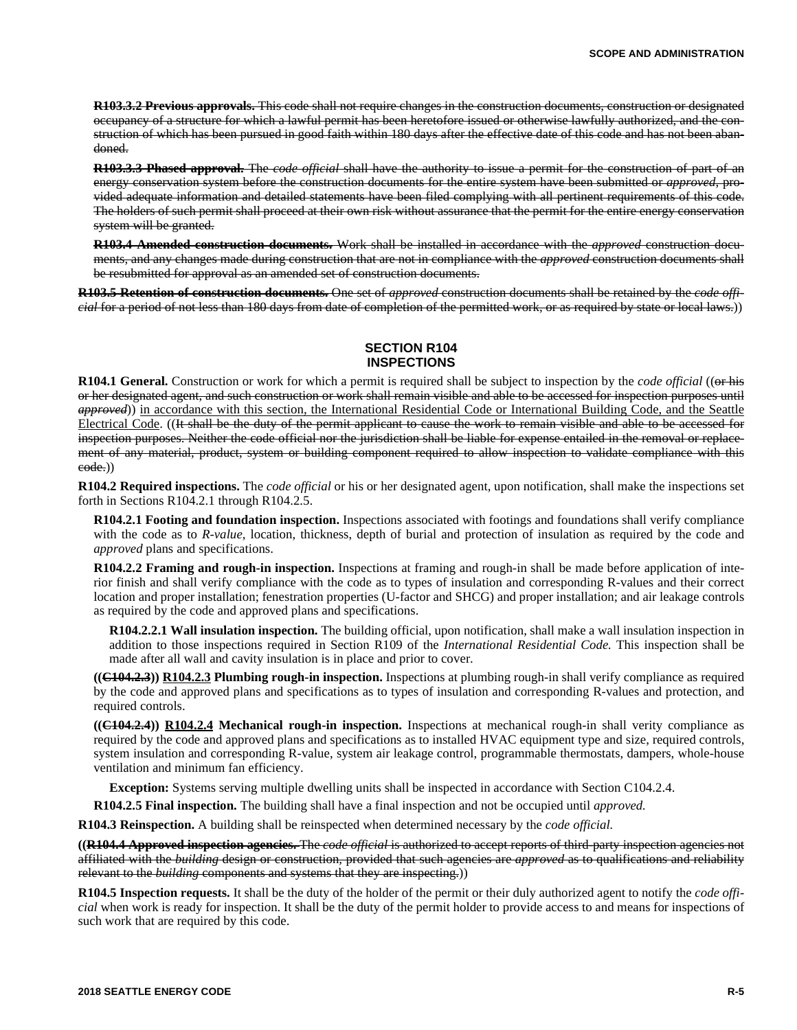**R103.3.2 Previous approvals.** This code shall not require changes in the construction documents, construction or designated occupancy of a structure for which a lawful permit has been heretofore issued or otherwise lawfully authorized, and the construction of which has been pursued in good faith within 180 days after the effective date of this code and has not been abandoned.

**R103.3.3 Phased approval.** The *code official* shall have the authority to issue a permit for the construction of part of an energy conservation system before the construction documents for the entire system have been submitted or *approved*, provided adequate information and detailed statements have been filed complying with all pertinent requirements of this code. The holders of such permit shall proceed at their own risk without assurance that the permit for the entire energy conservation system will be granted.

**R103.4 Amended construction documents.** Work shall be installed in accordance with the *approved* construction documents, and any changes made during construction that are not in compliance with the *approved* construction documents shall be resubmitted for approval as an amended set of construction documents.

**R103.5 Retention of construction documents.** One set of *approved* construction documents shall be retained by the *code official* for a period of not less than 180 days from date of completion of the permitted work, or as required by state or local laws.))

#### **SECTION R104 INSPECTIONS**

**R104.1 General.** Construction or work for which a permit is required shall be subject to inspection by the *code official* ((or his or her designated agent, and such construction or work shall remain visible and able to be accessed for inspection purposes until *approved*)) in accordance with this section, the International Residential Code or International Building Code, and the Seattle Electrical Code. ((It shall be the duty of the permit applicant to cause the work to remain visible and able to be accessed for inspection purposes. Neither the code official nor the jurisdiction shall be liable for expense entailed in the removal or replacement of any material, product, system or building component required to allow inspection to validate compliance with this code.))

**R104.2 Required inspections.** The *code official* or his or her designated agent, upon notification, shall make the inspections set forth in Sections R104.2.1 through R104.2.5.

**R104.2.1 Footing and foundation inspection.** Inspections associated with footings and foundations shall verify compliance with the code as to *R-value*, location, thickness, depth of burial and protection of insulation as required by the code and *approved* plans and specifications.

**R104.2.2 Framing and rough-in inspection.** Inspections at framing and rough-in shall be made before application of interior finish and shall verify compliance with the code as to types of insulation and corresponding R-values and their correct location and proper installation; fenestration properties (U-factor and SHCG) and proper installation; and air leakage controls as required by the code and approved plans and specifications.

**R104.2.2.1 Wall insulation inspection.** The building official, upon notification, shall make a wall insulation inspection in addition to those inspections required in Section R109 of the *International Residential Code.* This inspection shall be made after all wall and cavity insulation is in place and prior to cover.

**((C104.2.3)) R104.2.3 Plumbing rough-in inspection.** Inspections at plumbing rough-in shall verify compliance as required by the code and approved plans and specifications as to types of insulation and corresponding R-values and protection, and required controls.

**((C104.2.4)) R104.2.4 Mechanical rough-in inspection.** Inspections at mechanical rough-in shall verity compliance as required by the code and approved plans and specifications as to installed HVAC equipment type and size, required controls, system insulation and corresponding R-value, system air leakage control, programmable thermostats, dampers, whole-house ventilation and minimum fan efficiency.

**Exception:** Systems serving multiple dwelling units shall be inspected in accordance with Section C104.2.4.

**R104.2.5 Final inspection.** The building shall have a final inspection and not be occupied until *approved.*

**R104.3 Reinspection.** A building shall be reinspected when determined necessary by the *code official.*

**((R104.4 Approved inspection agencies.** The *code official* is authorized to accept reports of third-party inspection agencies not affiliated with the *building* design or construction, provided that such agencies are *approved* as to qualifications and reliability relevant to the *building* components and systems that they are inspecting.))

**R104.5 Inspection requests.** It shall be the duty of the holder of the permit or their duly authorized agent to notify the *code official* when work is ready for inspection. It shall be the duty of the permit holder to provide access to and means for inspections of such work that are required by this code.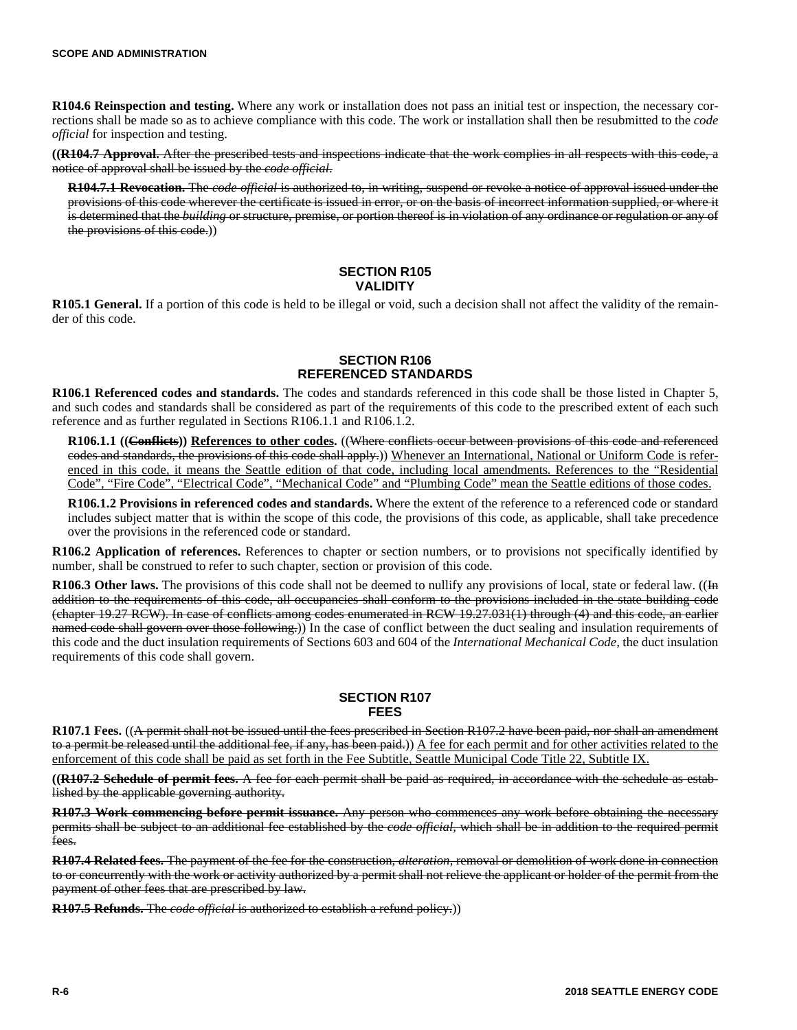**R104.6 Reinspection and testing.** Where any work or installation does not pass an initial test or inspection, the necessary corrections shall be made so as to achieve compliance with this code. The work or installation shall then be resubmitted to the *code official* for inspection and testing.

**((R104.7 Approval.** After the prescribed tests and inspections indicate that the work complies in all respects with this code, a notice of approval shall be issued by the *code official*.

**R104.7.1 Revocation.** The *code official* is authorized to, in writing, suspend or revoke a notice of approval issued under the provisions of this code wherever the certificate is issued in error, or on the basis of incorrect information supplied, or where it is determined that the *building* or structure, premise, or portion thereof is in violation of any ordinance or regulation or any of the provisions of this code.))

## **SECTION R105 VALIDITY**

**R105.1 General.** If a portion of this code is held to be illegal or void, such a decision shall not affect the validity of the remainder of this code.

#### **SECTION R106 REFERENCED STANDARDS**

**R106.1 Referenced codes and standards.** The codes and standards referenced in this code shall be those listed in Chapter 5, and such codes and standards shall be considered as part of the requirements of this code to the prescribed extent of each such reference and as further regulated in Sections R106.1.1 and R106.1.2.

**R106.1.1 ((Conflicts)) References to other codes.** ((Where conflicts occur between provisions of this code and referenced codes and standards, the provisions of this code shall apply.)) Whenever an International, National or Uniform Code is referenced in this code, it means the Seattle edition of that code, including local amendments. References to the "Residential Code", "Fire Code", "Electrical Code", "Mechanical Code" and "Plumbing Code" mean the Seattle editions of those codes.

**R106.1.2 Provisions in referenced codes and standards.** Where the extent of the reference to a referenced code or standard includes subject matter that is within the scope of this code, the provisions of this code, as applicable, shall take precedence over the provisions in the referenced code or standard.

**R106.2 Application of references.** References to chapter or section numbers, or to provisions not specifically identified by number, shall be construed to refer to such chapter, section or provision of this code.

**R106.3 Other laws.** The provisions of this code shall not be deemed to nullify any provisions of local, state or federal law. ((In addition to the requirements of this code, all occupancies shall conform to the provisions included in the state building code (chapter 19.27 RCW). In case of conflicts among codes enumerated in RCW 19.27.031(1) through (4) and this code, an earlier named code shall govern over those following.) In the case of conflict between the duct sealing and insulation requirements of this code and the duct insulation requirements of Sections 603 and 604 of the *International Mechanical Code,* the duct insulation requirements of this code shall govern.

## **SECTION R107 FEES**

**R107.1 Fees.** ((A permit shall not be issued until the fees prescribed in Section R107.2 have been paid, nor shall an amendment to a permit be released until the additional fee, if any, has been paid.)) A fee for each permit and for other activities related to the enforcement of this code shall be paid as set forth in the Fee Subtitle, Seattle Municipal Code Title 22, Subtitle IX.

**((R107.2 Schedule of permit fees.** A fee for each permit shall be paid as required, in accordance with the schedule as established by the applicable governing authority.

**R107.3 Work commencing before permit issuance.** Any person who commences any work before obtaining the necessary permits shall be subject to an additional fee established by the *code official,* which shall be in addition to the required permit fees.

**R107.4 Related fees.** The payment of the fee for the construction, *alteration*, removal or demolition of work done in connection to or concurrently with the work or activity authorized by a permit shall not relieve the applicant or holder of the permit from the payment of other fees that are prescribed by law.

**R107.5 Refunds.** The *code official* is authorized to establish a refund policy.))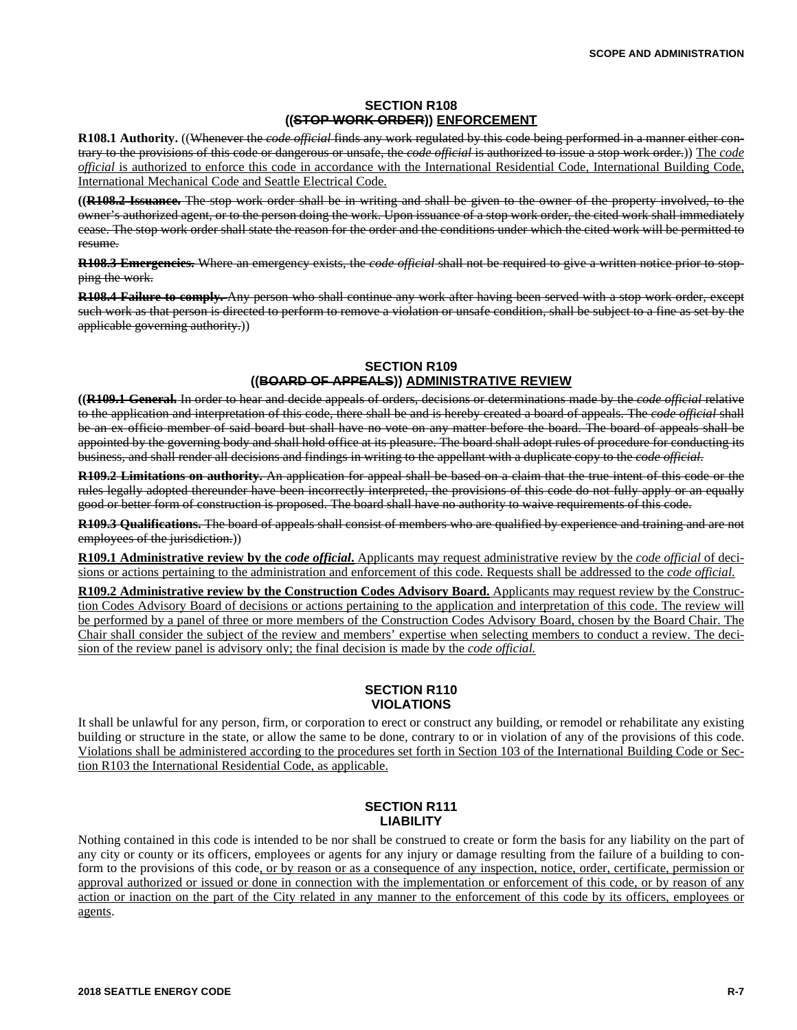## **SECTION R108 ((STOP WORK ORDER)) ENFORCEMENT**

**R108.1 Authority.** ((Whenever the *code official* finds any work regulated by this code being performed in a manner either contrary to the provisions of this code or dangerous or unsafe, the *code official* is authorized to issue a stop work order.)) The *code official* is authorized to enforce this code in accordance with the International Residential Code, International Building Code, International Mechanical Code and Seattle Electrical Code.

**((R108.2 Issuance.** The stop work order shall be in writing and shall be given to the owner of the property involved, to the owner's authorized agent, or to the person doing the work. Upon issuance of a stop work order, the cited work shall immediately cease. The stop work order shall state the reason for the order and the conditions under which the cited work will be permitted to resume.

**R108.3 Emergencies.** Where an emergency exists, the *code official* shall not be required to give a written notice prior to stopping the work.

**R108.4 Failure to comply.** Any person who shall continue any work after having been served with a stop work order, except such work as that person is directed to perform to remove a violation or unsafe condition, shall be subject to a fine as set by the applicable governing authority.))

# **SECTION R109 ((BOARD OF APPEALS)) ADMINISTRATIVE REVIEW**

**((R109.1 General.** In order to hear and decide appeals of orders, decisions or determinations made by the *code official* relative to the application and interpretation of this code, there shall be and is hereby created a board of appeals. The *code official* shall be an ex officio member of said board but shall have no vote on any matter before the board. The board of appeals shall be appointed by the governing body and shall hold office at its pleasure. The board shall adopt rules of procedure for conducting its business, and shall render all decisions and findings in writing to the appellant with a duplicate copy to the *code official.*

**R109.2 Limitations on authority.** An application for appeal shall be based on a claim that the true intent of this code or the rules legally adopted thereunder have been incorrectly interpreted, the provisions of this code do not fully apply or an equally good or better form of construction is proposed. The board shall have no authority to waive requirements of this code.

**R109.3 Qualifications.** The board of appeals shall consist of members who are qualified by experience and training and are not employees of the jurisdiction.))

**R109.1 Administrative review by the** *code official***.** Applicants may request administrative review by the *code official* of decisions or actions pertaining to the administration and enforcement of this code. Requests shall be addressed to the *code official.*

**R109.2 Administrative review by the Construction Codes Advisory Board.** Applicants may request review by the Construction Codes Advisory Board of decisions or actions pertaining to the application and interpretation of this code. The review will be performed by a panel of three or more members of the Construction Codes Advisory Board, chosen by the Board Chair. The Chair shall consider the subject of the review and members' expertise when selecting members to conduct a review. The decision of the review panel is advisory only; the final decision is made by the *code official.*

# **SECTION R110 VIOLATIONS**

It shall be unlawful for any person, firm, or corporation to erect or construct any building, or remodel or rehabilitate any existing building or structure in the state, or allow the same to be done, contrary to or in violation of any of the provisions of this code. Violations shall be administered according to the procedures set forth in Section 103 of the International Building Code or Section R103 the International Residential Code, as applicable.

## **SECTION R111 LIABILITY**

Nothing contained in this code is intended to be nor shall be construed to create or form the basis for any liability on the part of any city or county or its officers, employees or agents for any injury or damage resulting from the failure of a building to conform to the provisions of this code, or by reason or as a consequence of any inspection, notice, order, certificate, permission or approval authorized or issued or done in connection with the implementation or enforcement of this code, or by reason of any action or inaction on the part of the City related in any manner to the enforcement of this code by its officers, employees or agents.